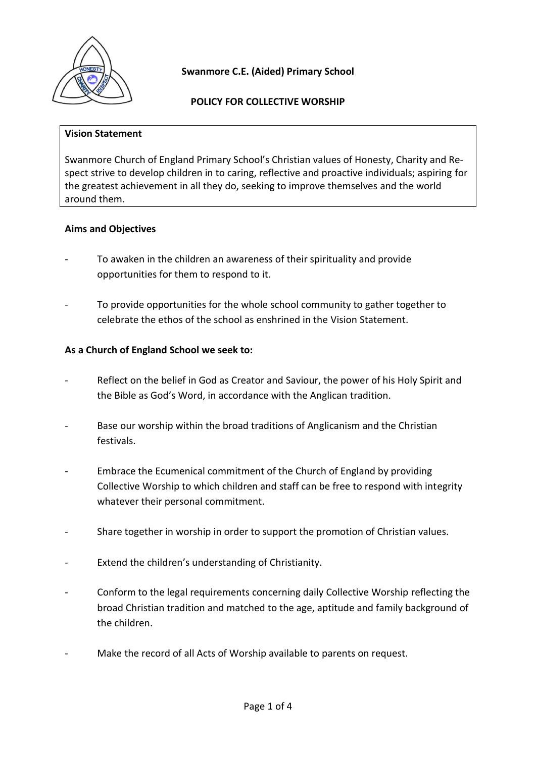

**POLICY FOR COLLECTIVE WORSHIP**

#### **Vision Statement**

Swanmore Church of England Primary School's Christian values of Honesty, Charity and Respect strive to develop children in to caring, reflective and proactive individuals; aspiring for the greatest achievement in all they do, seeking to improve themselves and the world around them.

# **Aims and Objectives**

- To awaken in the children an awareness of their spirituality and provide opportunities for them to respond to it.
- To provide opportunities for the whole school community to gather together to celebrate the ethos of the school as enshrined in the Vision Statement.

# **As a Church of England School we seek to:**

- Reflect on the belief in God as Creator and Saviour, the power of his Holy Spirit and the Bible as God's Word, in accordance with the Anglican tradition.
- Base our worship within the broad traditions of Anglicanism and the Christian festivals.
- Embrace the Ecumenical commitment of the Church of England by providing Collective Worship to which children and staff can be free to respond with integrity whatever their personal commitment.
- Share together in worship in order to support the promotion of Christian values.
- Extend the children's understanding of Christianity.
- Conform to the legal requirements concerning daily Collective Worship reflecting the broad Christian tradition and matched to the age, aptitude and family background of the children.
- Make the record of all Acts of Worship available to parents on request.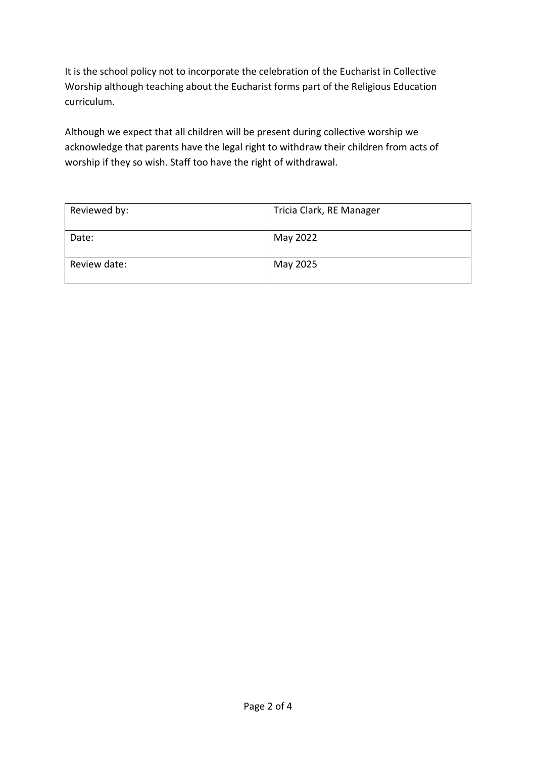It is the school policy not to incorporate the celebration of the Eucharist in Collective Worship although teaching about the Eucharist forms part of the Religious Education curriculum.

Although we expect that all children will be present during collective worship we acknowledge that parents have the legal right to withdraw their children from acts of worship if they so wish. Staff too have the right of withdrawal.

| Reviewed by: | Tricia Clark, RE Manager |
|--------------|--------------------------|
| Date:        | May 2022                 |
| Review date: | May 2025                 |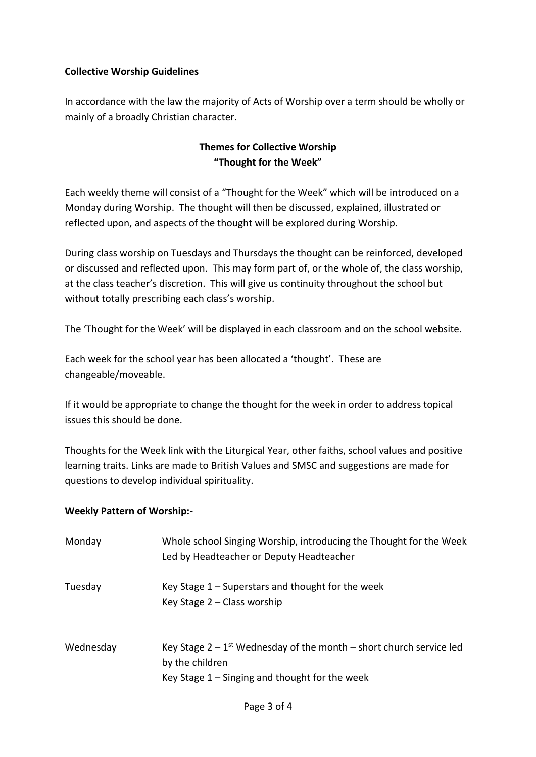# **Collective Worship Guidelines**

In accordance with the law the majority of Acts of Worship over a term should be wholly or mainly of a broadly Christian character.

# **Themes for Collective Worship "Thought for the Week"**

Each weekly theme will consist of a "Thought for the Week" which will be introduced on a Monday during Worship. The thought will then be discussed, explained, illustrated or reflected upon, and aspects of the thought will be explored during Worship.

During class worship on Tuesdays and Thursdays the thought can be reinforced, developed or discussed and reflected upon. This may form part of, or the whole of, the class worship, at the class teacher's discretion. This will give us continuity throughout the school but without totally prescribing each class's worship.

The 'Thought for the Week' will be displayed in each classroom and on the school website.

Each week for the school year has been allocated a 'thought'. These are changeable/moveable.

If it would be appropriate to change the thought for the week in order to address topical issues this should be done.

Thoughts for the Week link with the Liturgical Year, other faiths, school values and positive learning traits. Links are made to British Values and SMSC and suggestions are made for questions to develop individual spirituality.

# **Weekly Pattern of Worship:-**

| Monday    | Whole school Singing Worship, introducing the Thought for the Week<br>Led by Headteacher or Deputy Headteacher                                           |
|-----------|----------------------------------------------------------------------------------------------------------------------------------------------------------|
| Tuesday   | Key Stage $1$ – Superstars and thought for the week<br>Key Stage $2$ – Class worship                                                                     |
| Wednesday | Key Stage $2 - 1$ <sup>st</sup> Wednesday of the month – short church service led<br>by the children<br>Key Stage $1 -$ Singing and thought for the week |